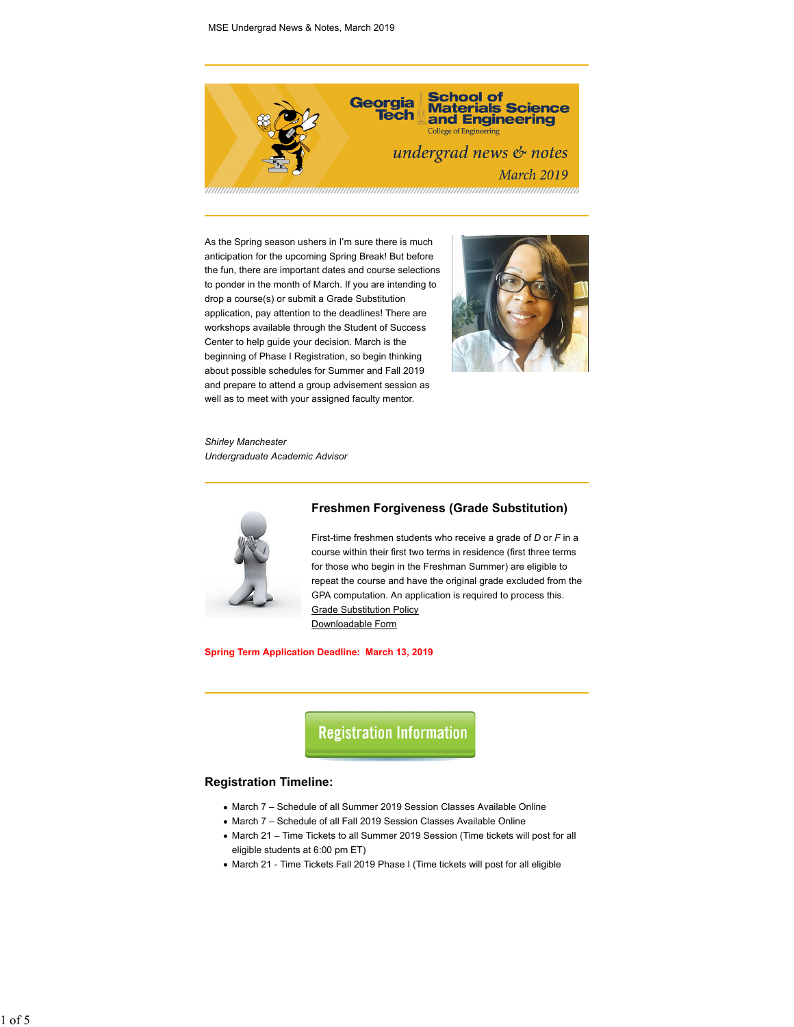

As the Spring season ushers in I'm sure there is much anticipation for the upcoming Spring Break! But before the fun, there are important dates and course selections to ponder in the month of March. If you are intending to drop a course(s) or submit a Grade Substitution application, pay attention to the deadlines! There are workshops available through the Student of Success Center to help guide your decision. March is the beginning of Phase I Registration, so begin thinking about possible schedules for Summer and Fall 2019 and prepare to attend a group advisement session as well as to meet with your assigned faculty mentor.



*Shirley Manchester Undergraduate Academic Advisor*



# **Freshmen Forgiveness (Grade Substitution)**

First-time freshmen students who receive a grade of *D* or *F* in a course within their first two terms in residence (first three terms for those who begin in the Freshman Summer) are eligible to repeat the course and have the original grade excluded from the GPA computation. An application is required to process this. Grade Substitution Policy Downloadable Form

**Spring Term Application Deadline: March 13, 2019**

**Registration Information** 

#### **Registration Timeline:**

- March 7 Schedule of all Summer 2019 Session Classes Available Online
- March 7 Schedule of all Fall 2019 Session Classes Available Online
- March 21 Time Tickets to all Summer 2019 Session (Time tickets will post for all eligible students at 6:00 pm ET)
- March 21 Time Tickets Fall 2019 Phase I (Time tickets will post for all eligible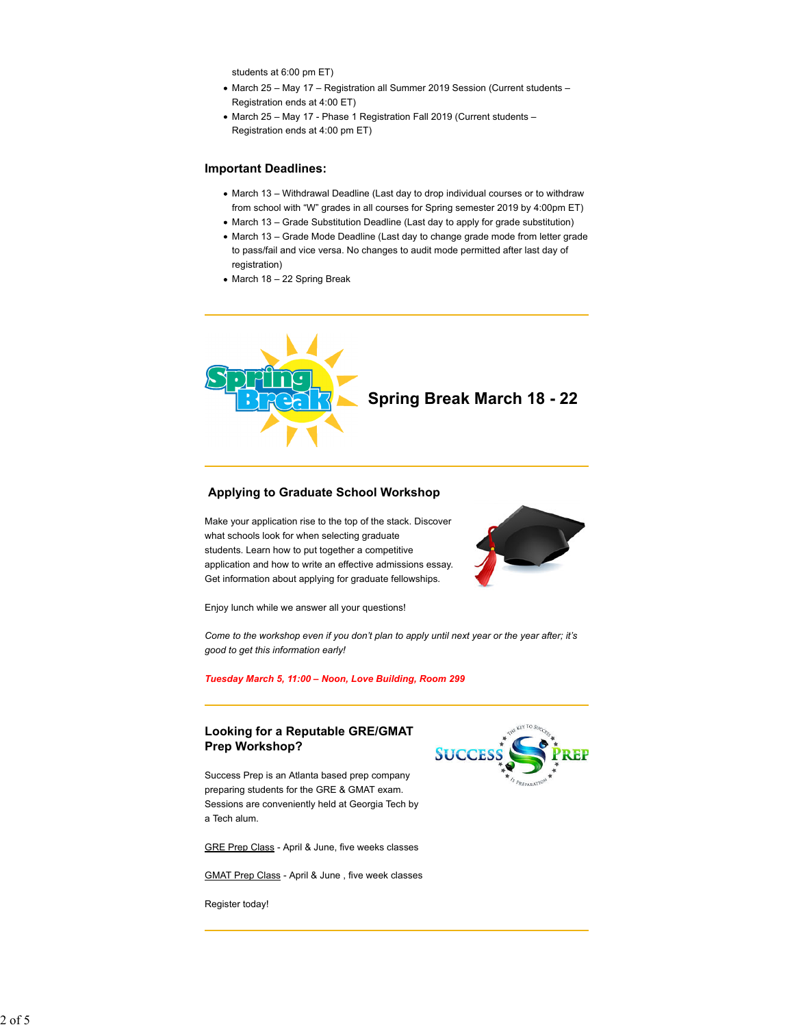students at 6:00 pm ET)

- March 25 May 17 Registration all Summer 2019 Session (Current students Registration ends at 4:00 ET)
- March 25 May 17 Phase 1 Registration Fall 2019 (Current students Registration ends at 4:00 pm ET)

# **Important Deadlines:**

- March 13 Withdrawal Deadline (Last day to drop individual courses or to withdraw from school with "W" grades in all courses for Spring semester 2019 by 4:00pm ET)
- March 13 Grade Substitution Deadline (Last day to apply for grade substitution)
- March 13 Grade Mode Deadline (Last day to change grade mode from letter grade to pass/fail and vice versa. No changes to audit mode permitted after last day of registration)
- March 18 22 Spring Break



# **Applying to Graduate School Workshop**

Make your application rise to the top of the stack. Discover what schools look for when selecting graduate students. Learn how to put together a competitive application and how to write an effective admissions essay. Get information about applying for graduate fellowships.



Enjoy lunch while we answer all your questions!

*Come to the workshop even if you don't plan to apply until next year or the year after; it's good to get this information early!*

#### *Tuesday March 5, 11:00 – Noon, Love Building, Room 299*

# **Looking for a Reputable GRE/GMAT Prep Workshop?**

Success Prep is an Atlanta based prep company preparing students for the GRE & GMAT exam. Sessions are conveniently held at Georgia Tech by a Tech alum.

GRE Prep Class - April & June, five weeks classes

GMAT Prep Class - April & June , five week classes

Register today!

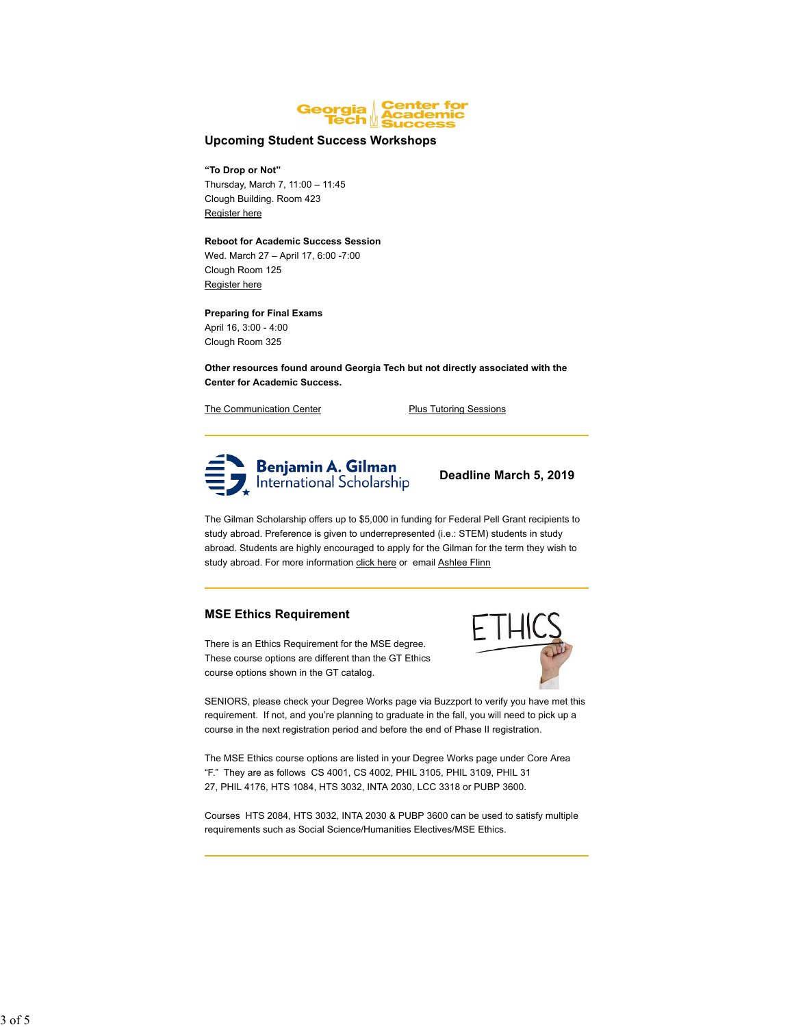

#### **Upcoming Student Success Workshops**

# **"To Drop or Not"**

Thursday, March 7, 11:00 – 11:45 Clough Building. Room 423 Register here

#### **Reboot for Academic Success Session**

Wed. March 27 – April 17, 6:00 -7:00 Clough Room 125 Register here

# **Preparing for Final Exams**

April 16, 3:00 - 4:00 Clough Room 325

**Other resources found around Georgia Tech but not directly associated with the Center for Academic Success.**

The Communication Center **Plus Tutoring Sessions** 



 **Deadline March 5, 2019**

The Gilman Scholarship offers up to \$5,000 in funding for Federal Pell Grant recipients to study abroad. Preference is given to underrepresented (i.e.: STEM) students in study abroad. Students are highly encouraged to apply for the Gilman for the term they wish to study abroad. For more information click here or email Ashlee Flinn

# **MSE Ethics Requirement**

There is an Ethics Requirement for the MSE degree. These course options are different than the GT Ethics course options shown in the GT catalog.



SENIORS, please check your Degree Works page via Buzzport to verify you have met this requirement. If not, and you're planning to graduate in the fall, you will need to pick up a course in the next registration period and before the end of Phase II registration.

The MSE Ethics course options are listed in your Degree Works page under Core Area "F." They are as follows CS 4001, CS 4002, PHIL 3105, PHIL 3109, PHIL 31 27, PHIL 4176, HTS 1084, HTS 3032, INTA 2030, LCC 3318 or PUBP 3600.

Courses HTS 2084, HTS 3032, INTA 2030 & PUBP 3600 can be used to satisfy multiple requirements such as Social Science/Humanities Electives/MSE Ethics.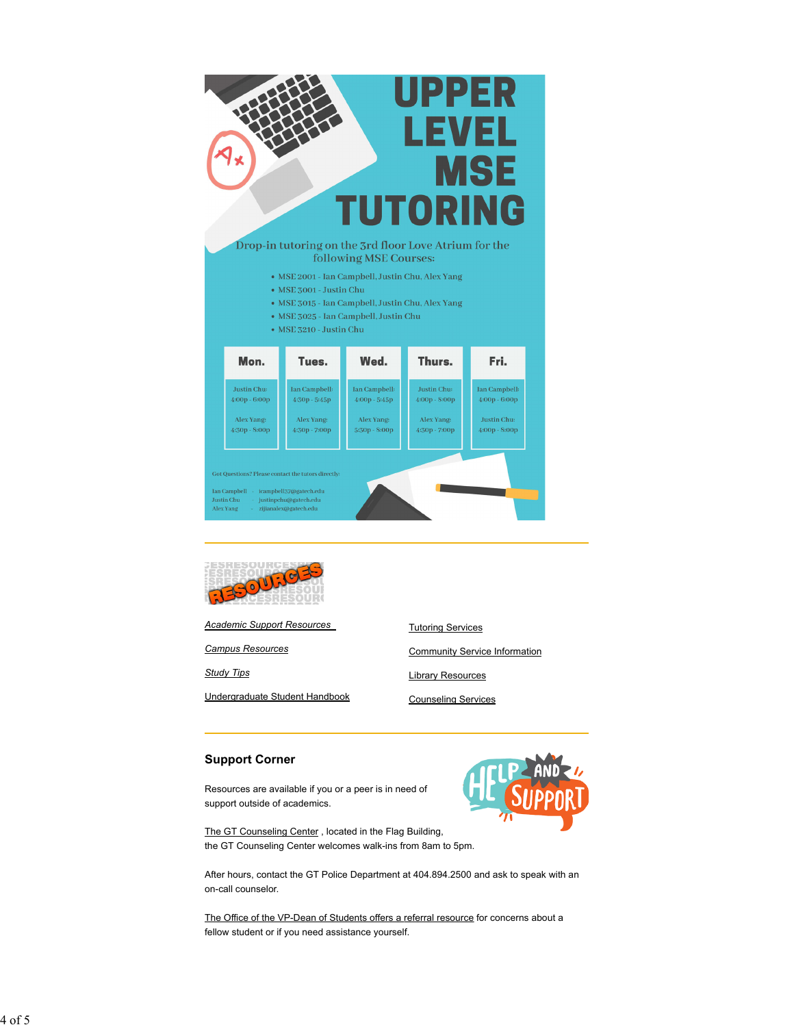

Drop-in tutoring on the 3rd floor Love Atrium for the following MSE Courses:

- · MSE 2001 Ian Campbell, Justin Chu, Alex Yang
- MSE 3001 Justin Chu
- · MSE 3015 Ian Campbell, Justin Chu, Alex Yang
- MSE 3025 Ian Campbell, Justin Chu
- $\bullet$  MSE 3210 Justin Chu

| Mon.                                                                                                             | Tues.                                                                    | Wed.                                                              | Thurs.                                                        | Fri.                                                                             |
|------------------------------------------------------------------------------------------------------------------|--------------------------------------------------------------------------|-------------------------------------------------------------------|---------------------------------------------------------------|----------------------------------------------------------------------------------|
| Justin Chu:<br>$4:00p - 6:00p$<br>Alex Yang:<br>$4:30p - 8:00p$                                                  | <b>Ian Campbell:</b><br>$4:30p - 5:45p$<br>Alex Yang:<br>4:30p - 7:00p   | Ian Campbell:<br>$4:00p - 5:45p$<br>Alex Yang:<br>$5:30p - 8:00p$ | Justin Chu:<br>$4:00p - 8:00p$<br>Alex Yang:<br>4:30p - 7:00p | <b>Ian Campbell:</b><br>$4:00p - 6:00p$<br><b>Justin Chu:</b><br>$4:00p - 8:00p$ |
| Got Questions? Please contact the tutors directly:<br><b>Ian Campbell</b><br><b>Justin Chu</b><br>Alex Yang<br>÷ | icampbell37@gatech.edu<br>justinpchu@gatech.edu<br>zijianalex@gatech.edu |                                                                   |                                                               |                                                                                  |



*Academic Support Resources*

*Campus Resources*

*Study Tips*

Undergraduate Student Handbook

Tutoring Services Community Service Information Library Resources

Counseling Services

# **Support Corner**

Resources are available if you or a peer is in need of support outside of academics.



The GT Counseling Center , located in the Flag Building, the GT Counseling Center welcomes walk-ins from 8am to 5pm.

After hours, contact the GT Police Department at 404.894.2500 and ask to speak with an on-call counselor.

The Office of the VP-Dean of Students offers a referral resource for concerns about a fellow student or if you need assistance yourself.